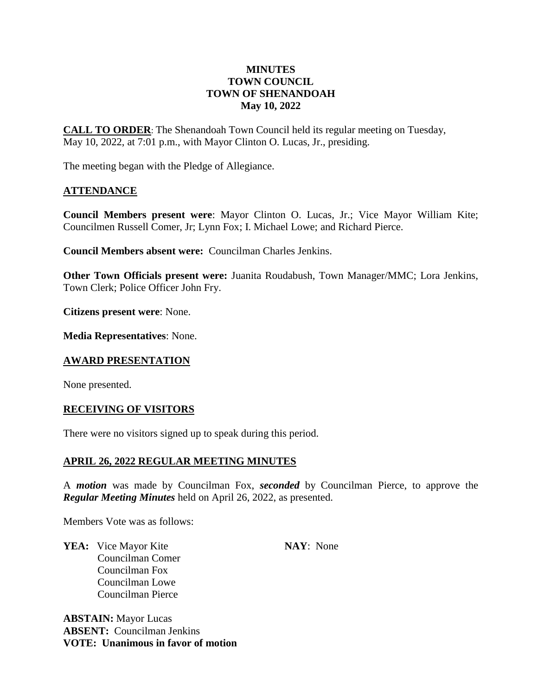# **MINUTES TOWN COUNCIL TOWN OF SHENANDOAH May 10, 2022**

**CALL TO ORDER**: The Shenandoah Town Council held its regular meeting on Tuesday, May 10, 2022, at 7:01 p.m., with Mayor Clinton O. Lucas, Jr., presiding.

The meeting began with the Pledge of Allegiance.

## **ATTENDANCE**

**Council Members present were**: Mayor Clinton O. Lucas, Jr.; Vice Mayor William Kite; Councilmen Russell Comer, Jr; Lynn Fox; I. Michael Lowe; and Richard Pierce.

**Council Members absent were:** Councilman Charles Jenkins.

**Other Town Officials present were:** Juanita Roudabush, Town Manager/MMC; Lora Jenkins, Town Clerk; Police Officer John Fry.

**Citizens present were**: None.

**Media Representatives**: None.

## **AWARD PRESENTATION**

None presented.

## **RECEIVING OF VISITORS**

There were no visitors signed up to speak during this period.

## **APRIL 26, 2022 REGULAR MEETING MINUTES**

A *motion* was made by Councilman Fox, *seconded* by Councilman Pierce, to approve the *Regular Meeting Minutes* held on April 26, 2022, as presented.

Members Vote was as follows:

**YEA:** Vice Mayor Kite **NAY**: None Councilman Comer Councilman Fox Councilman Lowe Councilman Pierce

**ABSTAIN:** Mayor Lucas **ABSENT:** Councilman Jenkins **VOTE: Unanimous in favor of motion**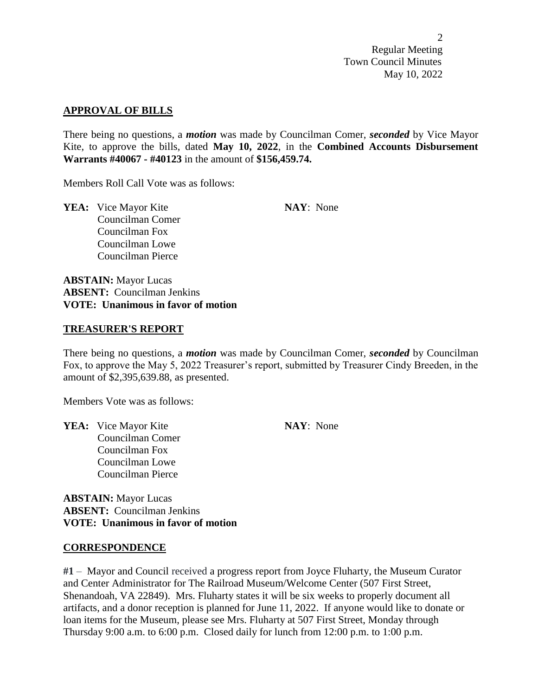### **APPROVAL OF BILLS**

There being no questions, a *motion* was made by Councilman Comer, *seconded* by Vice Mayor Kite, to approve the bills, dated **May 10, 2022**, in the **Combined Accounts Disbursement Warrants #40067 - #40123** in the amount of **\$156,459.74.**

Members Roll Call Vote was as follows:

**YEA:** Vice Mayor Kite **NAY**: None Councilman Comer Councilman Fox Councilman Lowe Councilman Pierce

**ABSTAIN:** Mayor Lucas **ABSENT:** Councilman Jenkins **VOTE: Unanimous in favor of motion**

## **TREASURER'S REPORT**

There being no questions, a *motion* was made by Councilman Comer, *seconded* by Councilman Fox, to approve the May 5, 2022 Treasurer's report, submitted by Treasurer Cindy Breeden, in the amount of \$2,395,639.88, as presented.

Members Vote was as follows:

**YEA:** Vice Mayor Kite **NAY**: None Councilman Comer Councilman Fox Councilman Lowe Councilman Pierce

**ABSTAIN:** Mayor Lucas **ABSENT:** Councilman Jenkins **VOTE: Unanimous in favor of motion**

#### **CORRESPONDENCE**

**#1** – Mayor and Council received a progress report from Joyce Fluharty, the Museum Curator and Center Administrator for The Railroad Museum/Welcome Center (507 First Street, Shenandoah, VA 22849). Mrs. Fluharty states it will be six weeks to properly document all artifacts, and a donor reception is planned for June 11, 2022. If anyone would like to donate or loan items for the Museum, please see Mrs. Fluharty at 507 First Street, Monday through Thursday 9:00 a.m. to 6:00 p.m. Closed daily for lunch from 12:00 p.m. to 1:00 p.m.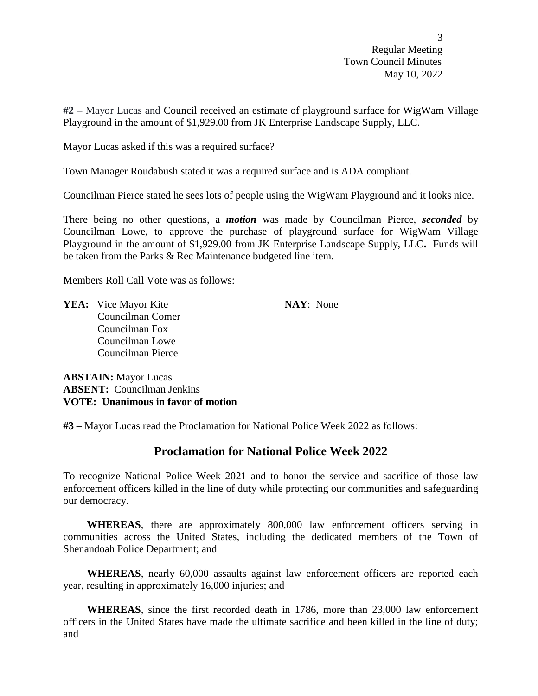**#2 –** Mayor Lucas and Council received an estimate of playground surface for WigWam Village Playground in the amount of \$1,929.00 from JK Enterprise Landscape Supply, LLC.

Mayor Lucas asked if this was a required surface?

Town Manager Roudabush stated it was a required surface and is ADA compliant.

Councilman Pierce stated he sees lots of people using the WigWam Playground and it looks nice.

There being no other questions, a *motion* was made by Councilman Pierce, *seconded* by Councilman Lowe, to approve the purchase of playground surface for WigWam Village Playground in the amount of \$1,929.00 from JK Enterprise Landscape Supply, LLC**.** Funds will be taken from the Parks & Rec Maintenance budgeted line item.

Members Roll Call Vote was as follows:

**YEA:** Vice Mayor Kite **NAY**: None Councilman Comer Councilman Fox Councilman Lowe Councilman Pierce

**ABSTAIN:** Mayor Lucas **ABSENT:** Councilman Jenkins **VOTE: Unanimous in favor of motion**

**#3 –** Mayor Lucas read the Proclamation for National Police Week 2022 as follows:

# **Proclamation for National Police Week 2022**

To recognize National Police Week 2021 and to honor the service and sacrifice of those law enforcement officers killed in the line of duty while protecting our communities and safeguarding our democracy.

**WHEREAS**, there are approximately 800,000 law enforcement officers serving in communities across the United States, including the dedicated members of the Town of Shenandoah Police Department; and

**WHEREAS**, nearly 60,000 assaults against law enforcement officers are reported each year, resulting in approximately 16,000 injuries; and

**WHEREAS**, since the first recorded death in 1786, more than 23,000 law enforcement officers in the United States have made the ultimate sacrifice and been killed in the line of duty; and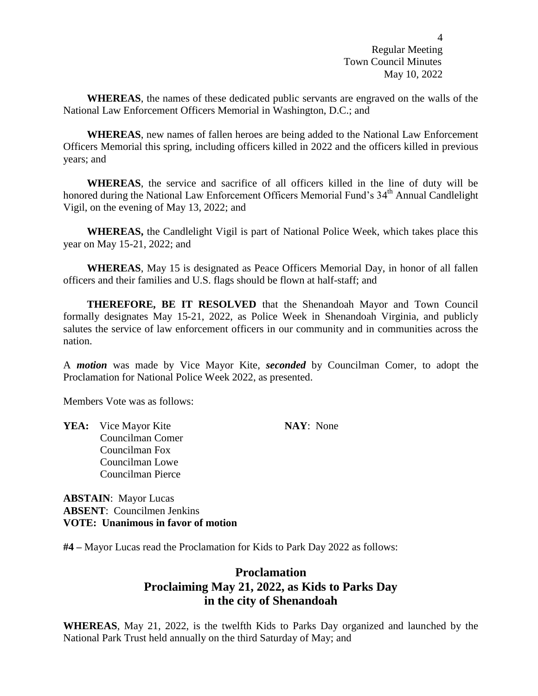**WHEREAS**, the names of these dedicated public servants are engraved on the walls of the National Law Enforcement Officers Memorial in Washington, D.C.; and

**WHEREAS**, new names of fallen heroes are being added to the National Law Enforcement Officers Memorial this spring, including officers killed in 2022 and the officers killed in previous years; and

**WHEREAS**, the service and sacrifice of all officers killed in the line of duty will be honored during the National Law Enforcement Officers Memorial Fund's 34<sup>th</sup> Annual Candlelight Vigil, on the evening of May 13, 2022; and

**WHEREAS,** the Candlelight Vigil is part of National Police Week, which takes place this year on May 15-21, 2022; and

**WHEREAS**, May 15 is designated as Peace Officers Memorial Day, in honor of all fallen officers and their families and U.S. flags should be flown at half-staff; and

**THEREFORE, BE IT RESOLVED** that the Shenandoah Mayor and Town Council formally designates May 15-21, 2022, as Police Week in Shenandoah Virginia, and publicly salutes the service of law enforcement officers in our community and in communities across the nation.

A *motion* was made by Vice Mayor Kite, *seconded* by Councilman Comer, to adopt the Proclamation for National Police Week 2022, as presented.

Members Vote was as follows:

**YEA:** Vice Mayor Kite **NAY**: None Councilman Comer Councilman Fox Councilman Lowe Councilman Pierce

**ABSTAIN**: Mayor Lucas **ABSENT**: Councilmen Jenkins **VOTE: Unanimous in favor of motion**

**#4 –** Mayor Lucas read the Proclamation for Kids to Park Day 2022 as follows:

# **Proclamation Proclaiming May 21, 2022, as Kids to Parks Day in the city of Shenandoah**

**WHEREAS**, May 21, 2022, is the twelfth Kids to Parks Day organized and launched by the National Park Trust held annually on the third Saturday of May; and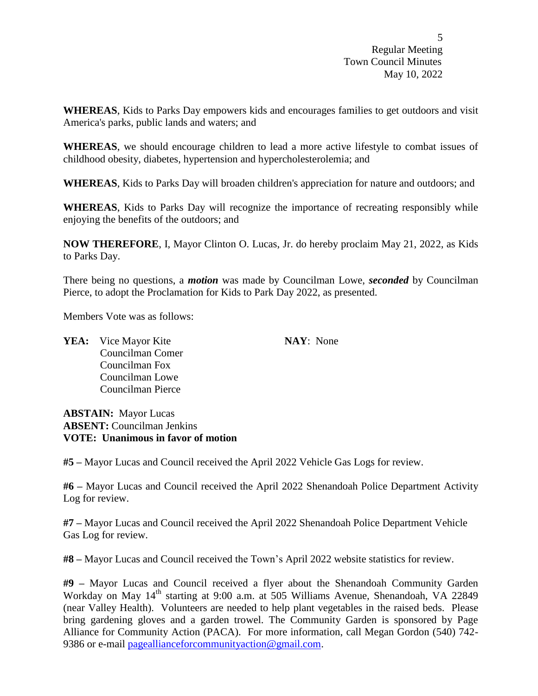$\overline{5}$ Regular Meeting Town Council Minutes May 10, 2022

**WHEREAS**, Kids to Parks Day empowers kids and encourages families to get outdoors and visit America's parks, public lands and waters; and

**WHEREAS**, we should encourage children to lead a more active lifestyle to combat issues of childhood obesity, diabetes, hypertension and hypercholesterolemia; and

**WHEREAS**, Kids to Parks Day will broaden children's appreciation for nature and outdoors; and

**WHEREAS**, Kids to Parks Day will recognize the importance of recreating responsibly while enjoying the benefits of the outdoors; and

**NOW THEREFORE**, I, Mayor Clinton O. Lucas, Jr. do hereby proclaim May 21, 2022, as Kids to Parks Day.

There being no questions, a *motion* was made by Councilman Lowe, *seconded* by Councilman Pierce, to adopt the Proclamation for Kids to Park Day 2022, as presented.

Members Vote was as follows:

**YEA:** Vice Mayor Kite **NAY**: None Councilman Comer Councilman Fox Councilman Lowe Councilman Pierce

**ABSTAIN:** Mayor Lucas **ABSENT:** Councilman Jenkins **VOTE: Unanimous in favor of motion**

**#5 –** Mayor Lucas and Council received the April 2022 Vehicle Gas Logs for review.

**#6 –** Mayor Lucas and Council received the April 2022 Shenandoah Police Department Activity Log for review.

**#7 –** Mayor Lucas and Council received the April 2022 Shenandoah Police Department Vehicle Gas Log for review.

**#8 –** Mayor Lucas and Council received the Town's April 2022 website statistics for review.

**#9 –** Mayor Lucas and Council received a flyer about the Shenandoah Community Garden Workday on May 14<sup>th</sup> starting at 9:00 a.m. at 505 Williams Avenue, Shenandoah, VA 22849 (near Valley Health). Volunteers are needed to help plant vegetables in the raised beds. Please bring gardening gloves and a garden trowel. The Community Garden is sponsored by Page Alliance for Community Action (PACA). For more information, call Megan Gordon (540) 742 9386 or e-mail [pageallianceforcommunityaction@gmail.com.](mailto:pageallianceforcommunityaction@gmail.com)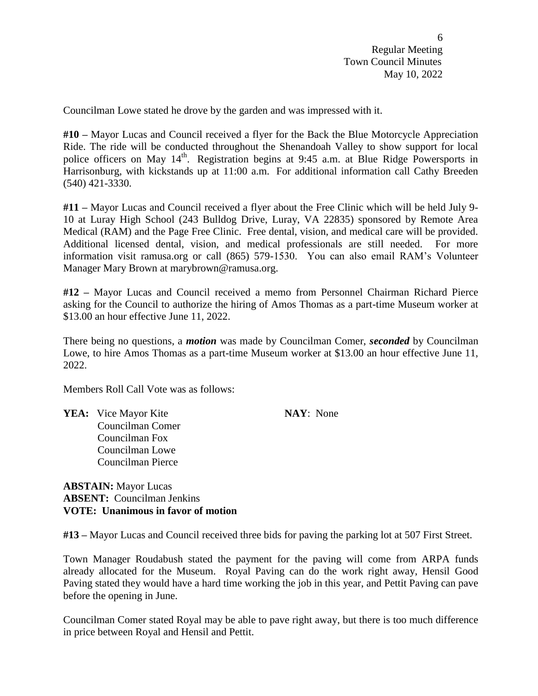Councilman Lowe stated he drove by the garden and was impressed with it.

**#10 –** Mayor Lucas and Council received a flyer for the Back the Blue Motorcycle Appreciation Ride. The ride will be conducted throughout the Shenandoah Valley to show support for local police officers on May 14<sup>th</sup>. Registration begins at 9:45 a.m. at Blue Ridge Powersports in Harrisonburg, with kickstands up at 11:00 a.m. For additional information call Cathy Breeden (540) 421-3330.

**#11 –** Mayor Lucas and Council received a flyer about the Free Clinic which will be held July 9- 10 at Luray High School (243 Bulldog Drive, Luray, VA 22835) sponsored by Remote Area Medical (RAM) and the Page Free Clinic. Free dental, vision, and medical care will be provided. Additional licensed dental, vision, and medical professionals are still needed. For more information visit ramusa.org or call (865) 579-1530. You can also email RAM's Volunteer Manager Mary Brown at marybrown@ramusa.org.

**#12 –** Mayor Lucas and Council received a memo from Personnel Chairman Richard Pierce asking for the Council to authorize the hiring of Amos Thomas as a part-time Museum worker at \$13.00 an hour effective June 11, 2022.

There being no questions, a *motion* was made by Councilman Comer, *seconded* by Councilman Lowe, to hire Amos Thomas as a part-time Museum worker at \$13.00 an hour effective June 11, 2022.

Members Roll Call Vote was as follows:

**YEA:** Vice Mayor Kite **NAY**: None Councilman Comer Councilman Fox Councilman Lowe Councilman Pierce

**ABSTAIN:** Mayor Lucas **ABSENT:** Councilman Jenkins **VOTE: Unanimous in favor of motion**

**#13 –** Mayor Lucas and Council received three bids for paving the parking lot at 507 First Street.

Town Manager Roudabush stated the payment for the paving will come from ARPA funds already allocated for the Museum. Royal Paving can do the work right away, Hensil Good Paving stated they would have a hard time working the job in this year, and Pettit Paving can pave before the opening in June.

Councilman Comer stated Royal may be able to pave right away, but there is too much difference in price between Royal and Hensil and Pettit.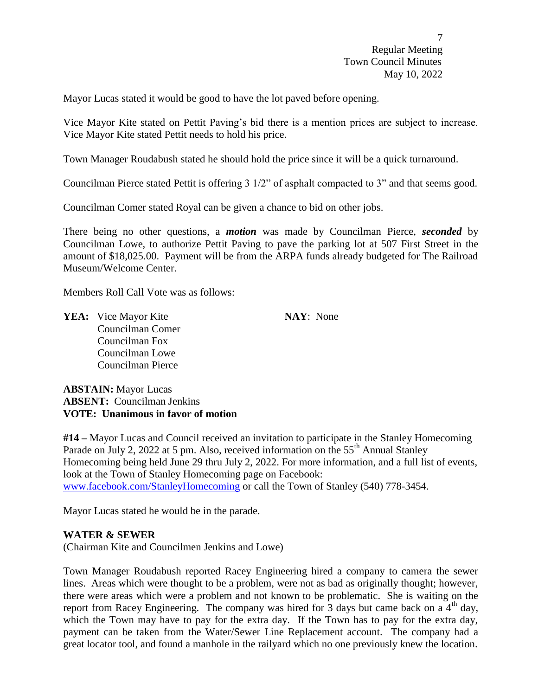Mayor Lucas stated it would be good to have the lot paved before opening.

Vice Mayor Kite stated on Pettit Paving's bid there is a mention prices are subject to increase. Vice Mayor Kite stated Pettit needs to hold his price.

Town Manager Roudabush stated he should hold the price since it will be a quick turnaround.

Councilman Pierce stated Pettit is offering 3 1/2" of asphalt compacted to 3" and that seems good.

Councilman Comer stated Royal can be given a chance to bid on other jobs.

There being no other questions, a *motion* was made by Councilman Pierce, *seconded* by Councilman Lowe, to authorize Pettit Paving to pave the parking lot at 507 First Street in the amount of \$18,025.00. Payment will be from the ARPA funds already budgeted for The Railroad Museum/Welcome Center.

Members Roll Call Vote was as follows:

**YEA:** Vice Mayor Kite **NAY**: None Councilman Comer Councilman Fox Councilman Lowe Councilman Pierce

**ABSTAIN:** Mayor Lucas **ABSENT:** Councilman Jenkins **VOTE: Unanimous in favor of motion**

**#14 –** Mayor Lucas and Council received an invitation to participate in the Stanley Homecoming Parade on July 2, 2022 at 5 pm. Also, received information on the  $55<sup>th</sup>$  Annual Stanley Homecoming being held June 29 thru July 2, 2022. For more information, and a full list of events, look at the Town of Stanley Homecoming page on Facebook: [www.facebook.com/StanleyHomecoming](http://www.facebook.com/StanleyHomecoming) or call the Town of Stanley (540) 778-3454.

Mayor Lucas stated he would be in the parade.

## **WATER & SEWER**

(Chairman Kite and Councilmen Jenkins and Lowe)

Town Manager Roudabush reported Racey Engineering hired a company to camera the sewer lines. Areas which were thought to be a problem, were not as bad as originally thought; however, there were areas which were a problem and not known to be problematic. She is waiting on the report from Racey Engineering. The company was hired for  $\overline{3}$  days but came back on a  $\overline{4}^{\text{th}}$  day, which the Town may have to pay for the extra day. If the Town has to pay for the extra day, payment can be taken from the Water/Sewer Line Replacement account. The company had a great locator tool, and found a manhole in the railyard which no one previously knew the location.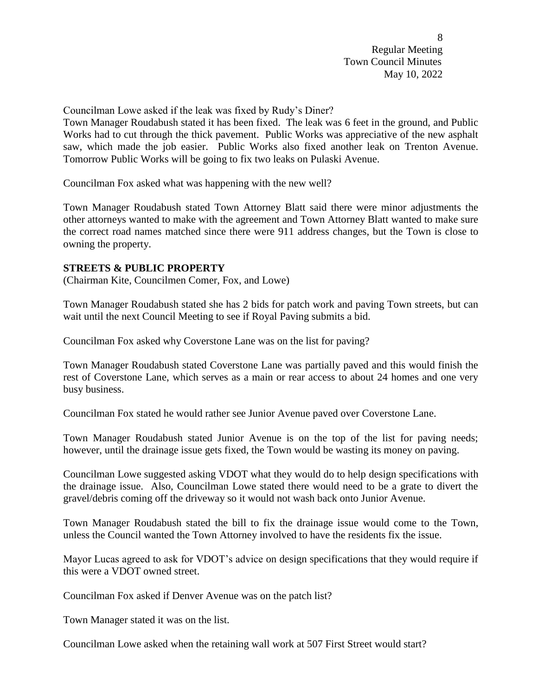Councilman Lowe asked if the leak was fixed by Rudy's Diner?

Town Manager Roudabush stated it has been fixed. The leak was 6 feet in the ground, and Public Works had to cut through the thick pavement. Public Works was appreciative of the new asphalt saw, which made the job easier. Public Works also fixed another leak on Trenton Avenue. Tomorrow Public Works will be going to fix two leaks on Pulaski Avenue.

Councilman Fox asked what was happening with the new well?

Town Manager Roudabush stated Town Attorney Blatt said there were minor adjustments the other attorneys wanted to make with the agreement and Town Attorney Blatt wanted to make sure the correct road names matched since there were 911 address changes, but the Town is close to owning the property.

## **STREETS & PUBLIC PROPERTY**

(Chairman Kite, Councilmen Comer, Fox, and Lowe)

Town Manager Roudabush stated she has 2 bids for patch work and paving Town streets, but can wait until the next Council Meeting to see if Royal Paving submits a bid.

Councilman Fox asked why Coverstone Lane was on the list for paving?

Town Manager Roudabush stated Coverstone Lane was partially paved and this would finish the rest of Coverstone Lane, which serves as a main or rear access to about 24 homes and one very busy business.

Councilman Fox stated he would rather see Junior Avenue paved over Coverstone Lane.

Town Manager Roudabush stated Junior Avenue is on the top of the list for paving needs; however, until the drainage issue gets fixed, the Town would be wasting its money on paving.

Councilman Lowe suggested asking VDOT what they would do to help design specifications with the drainage issue. Also, Councilman Lowe stated there would need to be a grate to divert the gravel/debris coming off the driveway so it would not wash back onto Junior Avenue.

Town Manager Roudabush stated the bill to fix the drainage issue would come to the Town, unless the Council wanted the Town Attorney involved to have the residents fix the issue.

Mayor Lucas agreed to ask for VDOT's advice on design specifications that they would require if this were a VDOT owned street.

Councilman Fox asked if Denver Avenue was on the patch list?

Town Manager stated it was on the list.

Councilman Lowe asked when the retaining wall work at 507 First Street would start?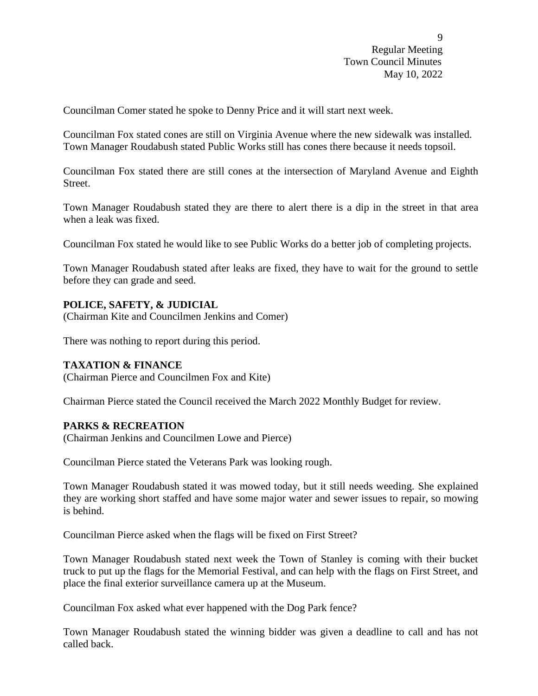Councilman Comer stated he spoke to Denny Price and it will start next week.

Councilman Fox stated cones are still on Virginia Avenue where the new sidewalk was installed. Town Manager Roudabush stated Public Works still has cones there because it needs topsoil.

Councilman Fox stated there are still cones at the intersection of Maryland Avenue and Eighth Street.

Town Manager Roudabush stated they are there to alert there is a dip in the street in that area when a leak was fixed.

Councilman Fox stated he would like to see Public Works do a better job of completing projects.

Town Manager Roudabush stated after leaks are fixed, they have to wait for the ground to settle before they can grade and seed.

## **POLICE, SAFETY, & JUDICIAL**

(Chairman Kite and Councilmen Jenkins and Comer)

There was nothing to report during this period.

#### **TAXATION & FINANCE**

(Chairman Pierce and Councilmen Fox and Kite)

Chairman Pierce stated the Council received the March 2022 Monthly Budget for review.

### **PARKS & RECREATION**

(Chairman Jenkins and Councilmen Lowe and Pierce)

Councilman Pierce stated the Veterans Park was looking rough.

Town Manager Roudabush stated it was mowed today, but it still needs weeding. She explained they are working short staffed and have some major water and sewer issues to repair, so mowing is behind.

Councilman Pierce asked when the flags will be fixed on First Street?

Town Manager Roudabush stated next week the Town of Stanley is coming with their bucket truck to put up the flags for the Memorial Festival, and can help with the flags on First Street, and place the final exterior surveillance camera up at the Museum.

Councilman Fox asked what ever happened with the Dog Park fence?

Town Manager Roudabush stated the winning bidder was given a deadline to call and has not called back.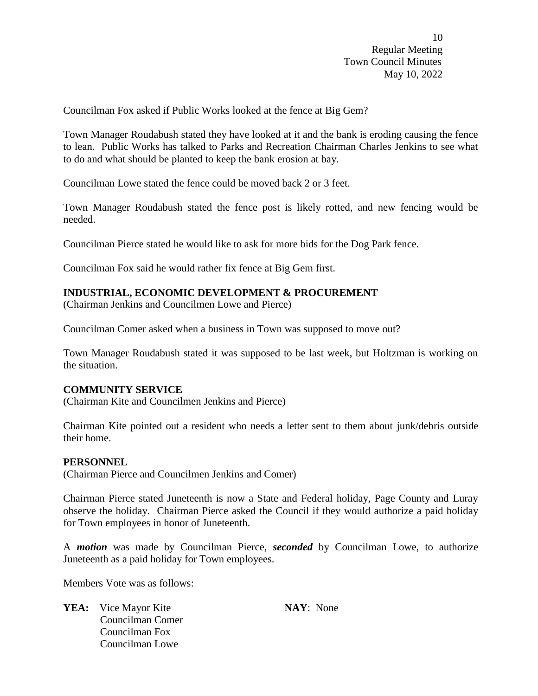Councilman Fox asked if Public Works looked at the fence at Big Gem?

Town Manager Roudabush stated they have looked at it and the bank is eroding causing the fence to lean. Public Works has talked to Parks and Recreation Chairman Charles Jenkins to see what to do and what should be planted to keep the bank erosion at bay.

Councilman Lowe stated the fence could be moved back 2 or 3 feet.

Town Manager Roudabush stated the fence post is likely rotted, and new fencing would be needed.

Councilman Pierce stated he would like to ask for more bids for the Dog Park fence.

Councilman Fox said he would rather fix fence at Big Gem first.

# **INDUSTRIAL, ECONOMIC DEVELOPMENT & PROCUREMENT**

(Chairman Jenkins and Councilmen Lowe and Pierce)

Councilman Comer asked when a business in Town was supposed to move out?

Town Manager Roudabush stated it was supposed to be last week, but Holtzman is working on the situation.

## **COMMUNITY SERVICE**

(Chairman Kite and Councilmen Jenkins and Pierce)

Chairman Kite pointed out a resident who needs a letter sent to them about junk/debris outside their home.

#### **PERSONNEL**

(Chairman Pierce and Councilmen Jenkins and Comer)

Chairman Pierce stated Juneteenth is now a State and Federal holiday, Page County and Luray observe the holiday. Chairman Pierce asked the Council if they would authorize a paid holiday for Town employees in honor of Juneteenth.

A *motion* was made by Councilman Pierce, *seconded* by Councilman Lowe, to authorize Juneteenth as a paid holiday for Town employees.

Members Vote was as follows:

**YEA:** Vice Mayor Kite **NAY**: None Councilman Comer Councilman Fox Councilman Lowe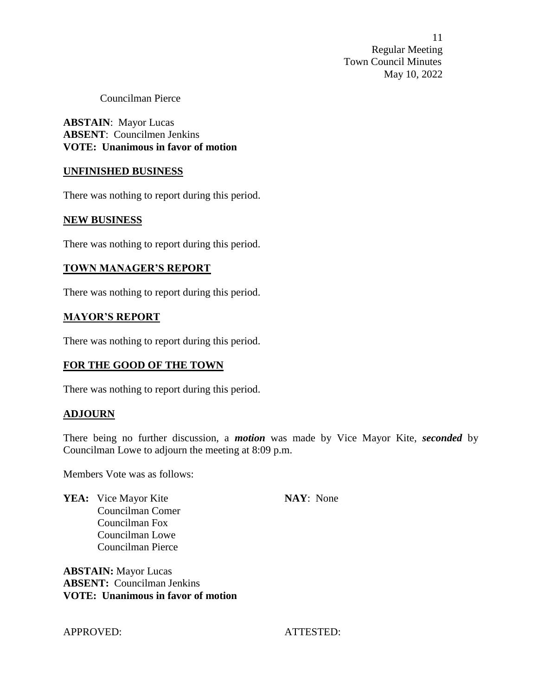Councilman Pierce

**ABSTAIN**: Mayor Lucas **ABSENT**: Councilmen Jenkins **VOTE: Unanimous in favor of motion**

#### **UNFINISHED BUSINESS**

There was nothing to report during this period.

#### **NEW BUSINESS**

There was nothing to report during this period.

#### **TOWN MANAGER'S REPORT**

There was nothing to report during this period.

#### **MAYOR'S REPORT**

There was nothing to report during this period.

#### **FOR THE GOOD OF THE TOWN**

There was nothing to report during this period.

#### **ADJOURN**

There being no further discussion, a *motion* was made by Vice Mayor Kite, *seconded* by Councilman Lowe to adjourn the meeting at 8:09 p.m.

Members Vote was as follows:

**YEA:** Vice Mayor Kite **NAY**: None Councilman Comer Councilman Fox Councilman Lowe Councilman Pierce

**ABSTAIN:** Mayor Lucas **ABSENT:** Councilman Jenkins **VOTE: Unanimous in favor of motion**

APPROVED: ATTESTED: